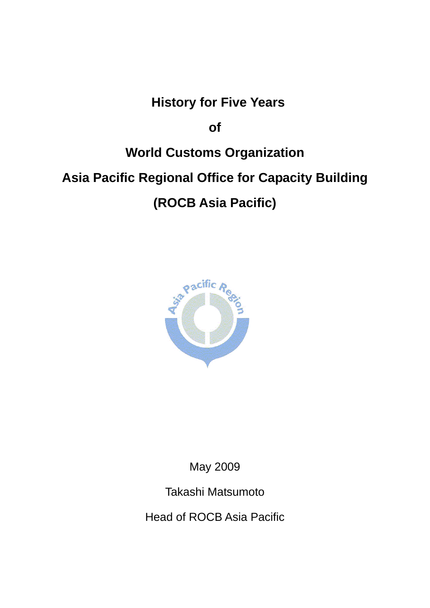## **History for Five Years**

**of** 

# **World Customs Organization Asia Pacific Regional Office for Capacity Building (ROCB Asia Pacific)**



May 2009

Takashi Matsumoto

Head of ROCB Asia Pacific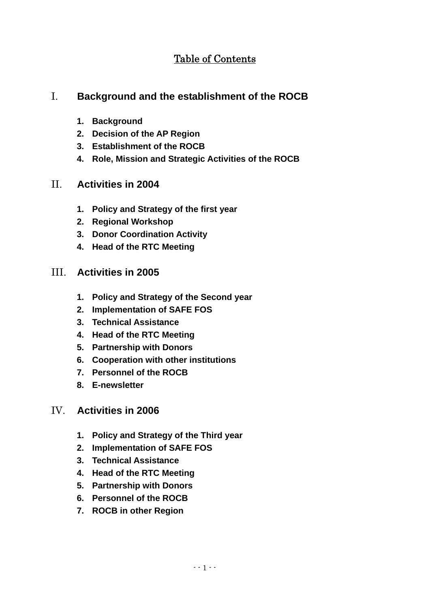## Table of Contents

## I. **Background and the establishment of the ROCB**

- **1. Background**
- **2. Decision of the AP Region**
- **3. Establishment of the ROCB**
- **4. Role, Mission and Strategic Activities of the ROCB**

## II. **Activities in 2004**

- **1. Policy and Strategy of the first year**
- **2. Regional Workshop**
- **3. Donor Coordination Activity**
- **4. Head of the RTC Meeting**

## III. **Activities in 2005**

- **1. Policy and Strategy of the Second year**
- **2. Implementation of SAFE FOS**
- **3. Technical Assistance**
- **4. Head of the RTC Meeting**
- **5. Partnership with Donors**
- **6. Cooperation with other institutions**
- **7. Personnel of the ROCB**
- **8. E-newsletter**

## IV. **Activities in 2006**

- **1. Policy and Strategy of the Third year**
- **2. Implementation of SAFE FOS**
- **3. Technical Assistance**
- **4. Head of the RTC Meeting**
- **5. Partnership with Donors**
- **6. Personnel of the ROCB**
- **7. ROCB in other Region**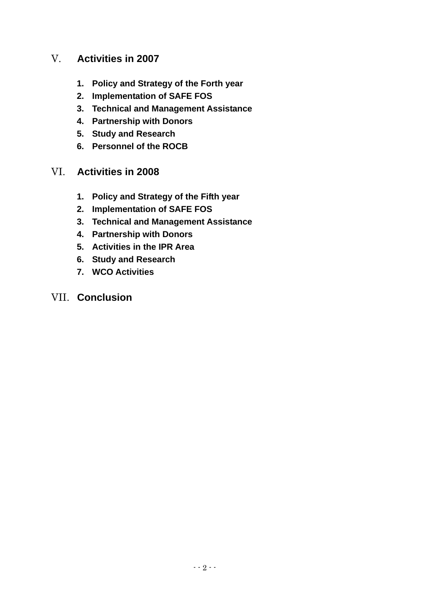## V. **Activities in 2007**

- **1. Policy and Strategy of the Forth year**
- **2. Implementation of SAFE FOS**
- **3. Technical and Management Assistance**
- **4. Partnership with Donors**
- **5. Study and Research**
- **6. Personnel of the ROCB**
- VI. **Activities in 2008** 
	- **1. Policy and Strategy of the Fifth year**
	- **2. Implementation of SAFE FOS**
	- **3. Technical and Management Assistance**
	- **4. Partnership with Donors**
	- **5. Activities in the IPR Area**
	- **6. Study and Research**
	- **7. WCO Activities**
- VII. **Conclusion**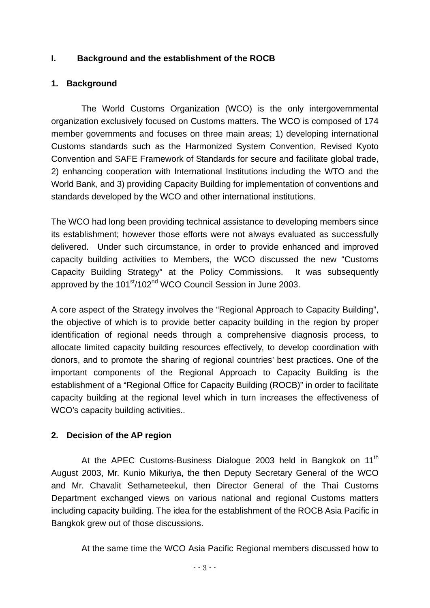## **I. Background and the establishment of the ROCB**

## **1. Background**

The World Customs Organization (WCO) is the only intergovernmental organization exclusively focused on Customs matters. The WCO is composed of 174 member governments and focuses on three main areas; 1) developing international Customs standards such as the Harmonized System Convention, Revised Kyoto Convention and SAFE Framework of Standards for secure and facilitate global trade, 2) enhancing cooperation with International Institutions including the WTO and the World Bank, and 3) providing Capacity Building for implementation of conventions and standards developed by the WCO and other international institutions.

The WCO had long been providing technical assistance to developing members since its establishment; however those efforts were not always evaluated as successfully delivered. Under such circumstance, in order to provide enhanced and improved capacity building activities to Members, the WCO discussed the new "Customs Capacity Building Strategy" at the Policy Commissions. It was subsequently approved by the 101<sup>st</sup>/102<sup>nd</sup> WCO Council Session in June 2003.

A core aspect of the Strategy involves the "Regional Approach to Capacity Building", the objective of which is to provide better capacity building in the region by proper identification of regional needs through a comprehensive diagnosis process, to allocate limited capacity building resources effectively, to develop coordination with donors, and to promote the sharing of regional countries' best practices. One of the important components of the Regional Approach to Capacity Building is the establishment of a "Regional Office for Capacity Building (ROCB)" in order to facilitate capacity building at the regional level which in turn increases the effectiveness of WCO's capacity building activities..

## **2. Decision of the AP region**

At the APEC Customs-Business Dialogue 2003 held in Bangkok on 11<sup>th</sup> August 2003, Mr. Kunio Mikuriya, the then Deputy Secretary General of the WCO and Mr. Chavalit Sethameteekul, then Director General of the Thai Customs Department exchanged views on various national and regional Customs matters including capacity building. The idea for the establishment of the ROCB Asia Pacific in Bangkok grew out of those discussions.

At the same time the WCO Asia Pacific Regional members discussed how to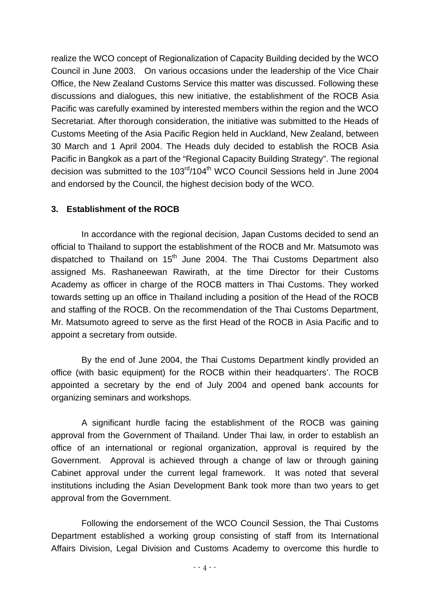realize the WCO concept of Regionalization of Capacity Building decided by the WCO Council in June 2003. On various occasions under the leadership of the Vice Chair Office, the New Zealand Customs Service this matter was discussed. Following these discussions and dialogues, this new initiative, the establishment of the ROCB Asia Pacific was carefully examined by interested members within the region and the WCO Secretariat. After thorough consideration, the initiative was submitted to the Heads of Customs Meeting of the Asia Pacific Region held in Auckland, New Zealand, between 30 March and 1 April 2004. The Heads duly decided to establish the ROCB Asia Pacific in Bangkok as a part of the "Regional Capacity Building Strategy". The regional decision was submitted to the 103<sup>rd</sup>/104<sup>th</sup> WCO Council Sessions held in June 2004 and endorsed by the Council, the highest decision body of the WCO.

## **3. Establishment of the ROCB**

In accordance with the regional decision, Japan Customs decided to send an official to Thailand to support the establishment of the ROCB and Mr. Matsumoto was dispatched to Thailand on  $15<sup>th</sup>$  June 2004. The Thai Customs Department also assigned Ms. Rashaneewan Rawirath, at the time Director for their Customs Academy as officer in charge of the ROCB matters in Thai Customs. They worked towards setting up an office in Thailand including a position of the Head of the ROCB and staffing of the ROCB. On the recommendation of the Thai Customs Department, Mr. Matsumoto agreed to serve as the first Head of the ROCB in Asia Pacific and to appoint a secretary from outside.

By the end of June 2004, the Thai Customs Department kindly provided an office (with basic equipment) for the ROCB within their headquarters'. The ROCB appointed a secretary by the end of July 2004 and opened bank accounts for organizing seminars and workshops.

A significant hurdle facing the establishment of the ROCB was gaining approval from the Government of Thailand. Under Thai law, in order to establish an office of an international or regional organization, approval is required by the Government. Approval is achieved through a change of law or through gaining Cabinet approval under the current legal framework. It was noted that several institutions including the Asian Development Bank took more than two years to get approval from the Government.

Following the endorsement of the WCO Council Session, the Thai Customs Department established a working group consisting of staff from its International Affairs Division, Legal Division and Customs Academy to overcome this hurdle to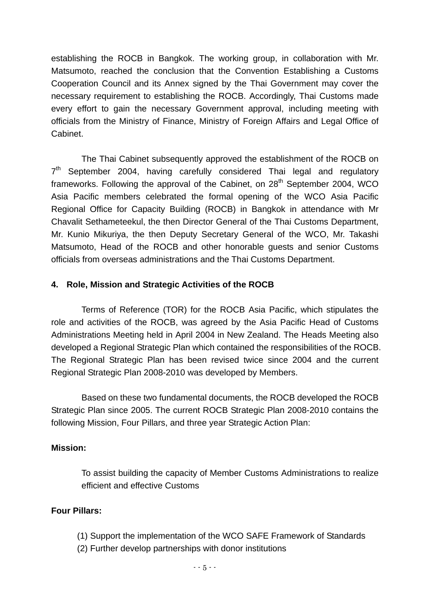establishing the ROCB in Bangkok. The working group, in collaboration with Mr. Matsumoto, reached the conclusion that the Convention Establishing a Customs Cooperation Council and its Annex signed by the Thai Government may cover the necessary requirement to establishing the ROCB. Accordingly, Thai Customs made every effort to gain the necessary Government approval, including meeting with officials from the Ministry of Finance, Ministry of Foreign Affairs and Legal Office of Cabinet.

The Thai Cabinet subsequently approved the establishment of the ROCB on  $7<sup>th</sup>$  September 2004, having carefully considered Thai legal and regulatory frameworks. Following the approval of the Cabinet, on  $28<sup>th</sup>$  September 2004, WCO Asia Pacific members celebrated the formal opening of the WCO Asia Pacific Regional Office for Capacity Building (ROCB) in Bangkok in attendance with Mr Chavalit Sethameteekul, the then Director General of the Thai Customs Department, Mr. Kunio Mikuriya, the then Deputy Secretary General of the WCO, Mr. Takashi Matsumoto, Head of the ROCB and other honorable guests and senior Customs officials from overseas administrations and the Thai Customs Department.

#### **4. Role, Mission and Strategic Activities of the ROCB**

Terms of Reference (TOR) for the ROCB Asia Pacific, which stipulates the role and activities of the ROCB, was agreed by the Asia Pacific Head of Customs Administrations Meeting held in April 2004 in New Zealand. The Heads Meeting also developed a Regional Strategic Plan which contained the responsibilities of the ROCB. The Regional Strategic Plan has been revised twice since 2004 and the current Regional Strategic Plan 2008-2010 was developed by Members.

Based on these two fundamental documents, the ROCB developed the ROCB Strategic Plan since 2005. The current ROCB Strategic Plan 2008-2010 contains the following Mission, Four Pillars, and three year Strategic Action Plan:

#### **Mission:**

To assist building the capacity of Member Customs Administrations to realize efficient and effective Customs

#### **Four Pillars:**

- (1) Support the implementation of the WCO SAFE Framework of Standards
- (2) Further develop partnerships with donor institutions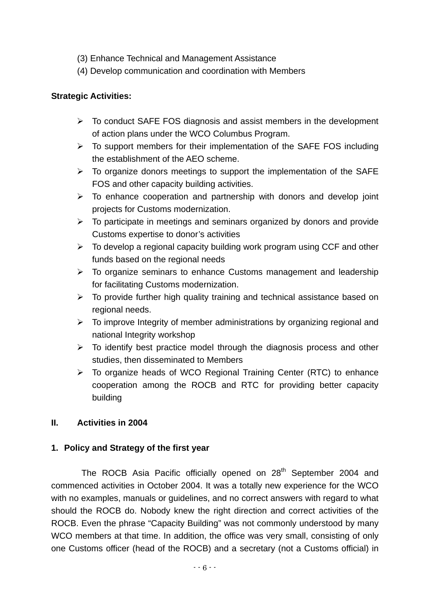- (3) Enhance Technical and Management Assistance
- (4) Develop communication and coordination with Members

#### **Strategic Activities:**

- $\triangleright$  To conduct SAFE FOS diagnosis and assist members in the development of action plans under the WCO Columbus Program.
- $\triangleright$  To support members for their implementation of the SAFE FOS including the establishment of the AEO scheme.
- $\triangleright$  To organize donors meetings to support the implementation of the SAFE FOS and other capacity building activities.
- $\triangleright$  To enhance cooperation and partnership with donors and develop joint projects for Customs modernization.
- $\triangleright$  To participate in meetings and seminars organized by donors and provide Customs expertise to donor's activities
- $\triangleright$  To develop a regional capacity building work program using CCF and other funds based on the regional needs
- $\triangleright$  To organize seminars to enhance Customs management and leadership for facilitating Customs modernization.
- $\triangleright$  To provide further high quality training and technical assistance based on regional needs.
- $\triangleright$  To improve Integrity of member administrations by organizing regional and national Integrity workshop
- $\triangleright$  To identify best practice model through the diagnosis process and other studies, then disseminated to Members
- $\triangleright$  To organize heads of WCO Regional Training Center (RTC) to enhance cooperation among the ROCB and RTC for providing better capacity building

## **II. Activities in 2004**

## **1. Policy and Strategy of the first year**

The ROCB Asia Pacific officially opened on 28<sup>th</sup> September 2004 and commenced activities in October 2004. It was a totally new experience for the WCO with no examples, manuals or guidelines, and no correct answers with regard to what should the ROCB do. Nobody knew the right direction and correct activities of the ROCB. Even the phrase "Capacity Building" was not commonly understood by many WCO members at that time. In addition, the office was very small, consisting of only one Customs officer (head of the ROCB) and a secretary (not a Customs official) in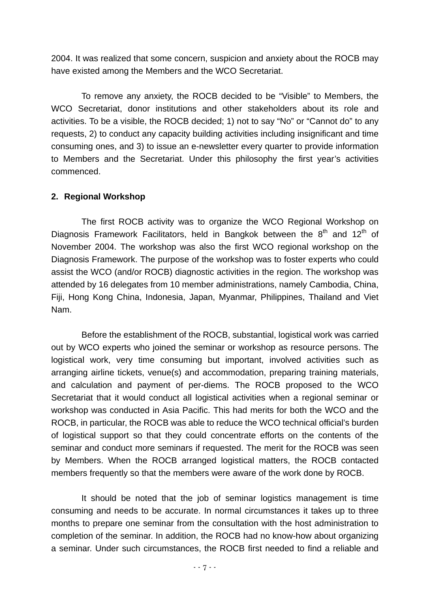2004. It was realized that some concern, suspicion and anxiety about the ROCB may have existed among the Members and the WCO Secretariat.

To remove any anxiety, the ROCB decided to be "Visible" to Members, the WCO Secretariat, donor institutions and other stakeholders about its role and activities. To be a visible, the ROCB decided; 1) not to say "No" or "Cannot do" to any requests, 2) to conduct any capacity building activities including insignificant and time consuming ones, and 3) to issue an e-newsletter every quarter to provide information to Members and the Secretariat. Under this philosophy the first year's activities commenced.

#### **2. Regional Workshop**

The first ROCB activity was to organize the WCO Regional Workshop on Diagnosis Framework Facilitators, held in Bangkok between the  $8<sup>th</sup>$  and 12<sup>th</sup> of November 2004. The workshop was also the first WCO regional workshop on the Diagnosis Framework. The purpose of the workshop was to foster experts who could assist the WCO (and/or ROCB) diagnostic activities in the region. The workshop was attended by 16 delegates from 10 member administrations, namely Cambodia, China, Fiji, Hong Kong China, Indonesia, Japan, Myanmar, Philippines, Thailand and Viet Nam.

Before the establishment of the ROCB, substantial, logistical work was carried out by WCO experts who joined the seminar or workshop as resource persons. The logistical work, very time consuming but important, involved activities such as arranging airline tickets, venue(s) and accommodation, preparing training materials, and calculation and payment of per-diems. The ROCB proposed to the WCO Secretariat that it would conduct all logistical activities when a regional seminar or workshop was conducted in Asia Pacific. This had merits for both the WCO and the ROCB, in particular, the ROCB was able to reduce the WCO technical official's burden of logistical support so that they could concentrate efforts on the contents of the seminar and conduct more seminars if requested. The merit for the ROCB was seen by Members. When the ROCB arranged logistical matters, the ROCB contacted members frequently so that the members were aware of the work done by ROCB.

It should be noted that the job of seminar logistics management is time consuming and needs to be accurate. In normal circumstances it takes up to three months to prepare one seminar from the consultation with the host administration to completion of the seminar. In addition, the ROCB had no know-how about organizing a seminar. Under such circumstances, the ROCB first needed to find a reliable and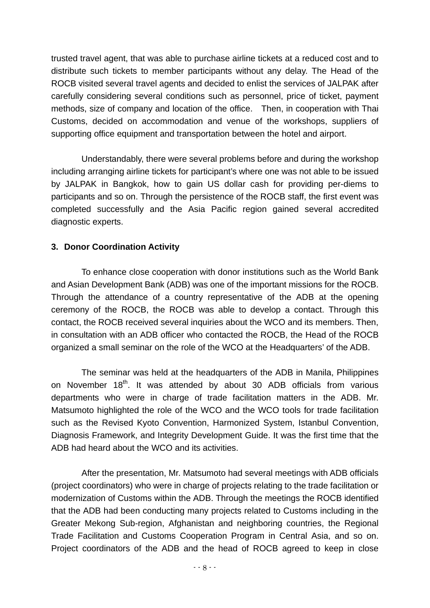trusted travel agent, that was able to purchase airline tickets at a reduced cost and to distribute such tickets to member participants without any delay. The Head of the ROCB visited several travel agents and decided to enlist the services of JALPAK after carefully considering several conditions such as personnel, price of ticket, payment methods, size of company and location of the office. Then, in cooperation with Thai Customs, decided on accommodation and venue of the workshops, suppliers of supporting office equipment and transportation between the hotel and airport.

Understandably, there were several problems before and during the workshop including arranging airline tickets for participant's where one was not able to be issued by JALPAK in Bangkok, how to gain US dollar cash for providing per-diems to participants and so on. Through the persistence of the ROCB staff, the first event was completed successfully and the Asia Pacific region gained several accredited diagnostic experts.

## **3. Donor Coordination Activity**

To enhance close cooperation with donor institutions such as the World Bank and Asian Development Bank (ADB) was one of the important missions for the ROCB. Through the attendance of a country representative of the ADB at the opening ceremony of the ROCB, the ROCB was able to develop a contact. Through this contact, the ROCB received several inquiries about the WCO and its members. Then, in consultation with an ADB officer who contacted the ROCB, the Head of the ROCB organized a small seminar on the role of the WCO at the Headquarters' of the ADB.

The seminar was held at the headquarters of the ADB in Manila, Philippines on November 18<sup>th</sup>. It was attended by about 30 ADB officials from various departments who were in charge of trade facilitation matters in the ADB. Mr. Matsumoto highlighted the role of the WCO and the WCO tools for trade facilitation such as the Revised Kyoto Convention, Harmonized System, Istanbul Convention, Diagnosis Framework, and Integrity Development Guide. It was the first time that the ADB had heard about the WCO and its activities.

After the presentation, Mr. Matsumoto had several meetings with ADB officials (project coordinators) who were in charge of projects relating to the trade facilitation or modernization of Customs within the ADB. Through the meetings the ROCB identified that the ADB had been conducting many projects related to Customs including in the Greater Mekong Sub-region, Afghanistan and neighboring countries, the Regional Trade Facilitation and Customs Cooperation Program in Central Asia, and so on. Project coordinators of the ADB and the head of ROCB agreed to keep in close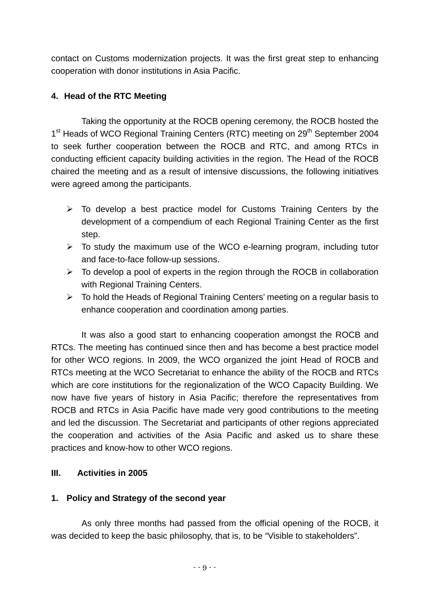contact on Customs modernization projects. It was the first great step to enhancing cooperation with donor institutions in Asia Pacific.

## **4. Head of the RTC Meeting**

Taking the opportunity at the ROCB opening ceremony, the ROCB hosted the 1<sup>st</sup> Heads of WCO Regional Training Centers (RTC) meeting on 29<sup>th</sup> September 2004 to seek further cooperation between the ROCB and RTC, and among RTCs in conducting efficient capacity building activities in the region. The Head of the ROCB chaired the meeting and as a result of intensive discussions, the following initiatives were agreed among the participants.

- $\triangleright$  To develop a best practice model for Customs Training Centers by the development of a compendium of each Regional Training Center as the first step.
- $\triangleright$  To study the maximum use of the WCO e-learning program, including tutor and face-to-face follow-up sessions.
- $\triangleright$  To develop a pool of experts in the region through the ROCB in collaboration with Regional Training Centers.
- $\triangleright$  To hold the Heads of Regional Training Centers' meeting on a regular basis to enhance cooperation and coordination among parties.

It was also a good start to enhancing cooperation amongst the ROCB and RTCs. The meeting has continued since then and has become a best practice model for other WCO regions. In 2009, the WCO organized the joint Head of ROCB and RTCs meeting at the WCO Secretariat to enhance the ability of the ROCB and RTCs which are core institutions for the regionalization of the WCO Capacity Building. We now have five years of history in Asia Pacific; therefore the representatives from ROCB and RTCs in Asia Pacific have made very good contributions to the meeting and led the discussion. The Secretariat and participants of other regions appreciated the cooperation and activities of the Asia Pacific and asked us to share these practices and know-how to other WCO regions.

## **III. Activities in 2005**

## **1. Policy and Strategy of the second year**

As only three months had passed from the official opening of the ROCB, it was decided to keep the basic philosophy, that is, to be "Visible to stakeholders".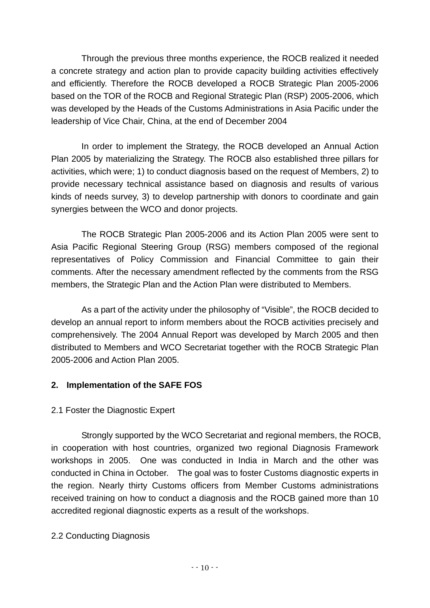Through the previous three months experience, the ROCB realized it needed a concrete strategy and action plan to provide capacity building activities effectively and efficiently. Therefore the ROCB developed a ROCB Strategic Plan 2005-2006 based on the TOR of the ROCB and Regional Strategic Plan (RSP) 2005-2006, which was developed by the Heads of the Customs Administrations in Asia Pacific under the leadership of Vice Chair, China, at the end of December 2004

In order to implement the Strategy, the ROCB developed an Annual Action Plan 2005 by materializing the Strategy. The ROCB also established three pillars for activities, which were; 1) to conduct diagnosis based on the request of Members, 2) to provide necessary technical assistance based on diagnosis and results of various kinds of needs survey, 3) to develop partnership with donors to coordinate and gain synergies between the WCO and donor projects.

The ROCB Strategic Plan 2005-2006 and its Action Plan 2005 were sent to Asia Pacific Regional Steering Group (RSG) members composed of the regional representatives of Policy Commission and Financial Committee to gain their comments. After the necessary amendment reflected by the comments from the RSG members, the Strategic Plan and the Action Plan were distributed to Members.

As a part of the activity under the philosophy of "Visible", the ROCB decided to develop an annual report to inform members about the ROCB activities precisely and comprehensively. The 2004 Annual Report was developed by March 2005 and then distributed to Members and WCO Secretariat together with the ROCB Strategic Plan 2005-2006 and Action Plan 2005.

## **2. Implementation of the SAFE FOS**

## 2.1 Foster the Diagnostic Expert

Strongly supported by the WCO Secretariat and regional members, the ROCB, in cooperation with host countries, organized two regional Diagnosis Framework workshops in 2005. One was conducted in India in March and the other was conducted in China in October. The goal was to foster Customs diagnostic experts in the region. Nearly thirty Customs officers from Member Customs administrations received training on how to conduct a diagnosis and the ROCB gained more than 10 accredited regional diagnostic experts as a result of the workshops.

## 2.2 Conducting Diagnosis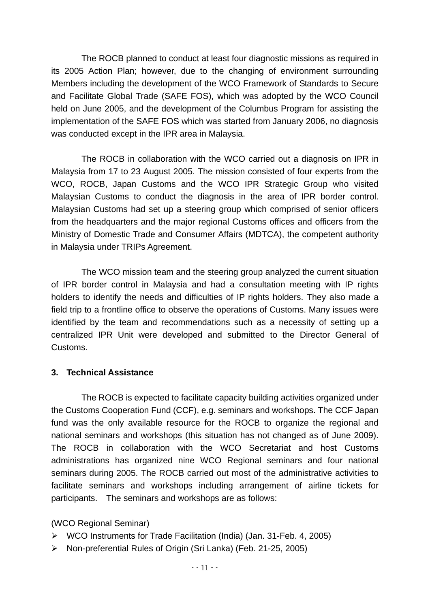The ROCB planned to conduct at least four diagnostic missions as required in its 2005 Action Plan; however, due to the changing of environment surrounding Members including the development of the WCO Framework of Standards to Secure and Facilitate Global Trade (SAFE FOS), which was adopted by the WCO Council held on June 2005, and the development of the Columbus Program for assisting the implementation of the SAFE FOS which was started from January 2006, no diagnosis was conducted except in the IPR area in Malaysia.

The ROCB in collaboration with the WCO carried out a diagnosis on IPR in Malaysia from 17 to 23 August 2005. The mission consisted of four experts from the WCO, ROCB, Japan Customs and the WCO IPR Strategic Group who visited Malaysian Customs to conduct the diagnosis in the area of IPR border control. Malaysian Customs had set up a steering group which comprised of senior officers from the headquarters and the major regional Customs offices and officers from the Ministry of Domestic Trade and Consumer Affairs (MDTCA), the competent authority in Malaysia under TRIPs Agreement.

The WCO mission team and the steering group analyzed the current situation of IPR border control in Malaysia and had a consultation meeting with IP rights holders to identify the needs and difficulties of IP rights holders. They also made a field trip to a frontline office to observe the operations of Customs. Many issues were identified by the team and recommendations such as a necessity of setting up a centralized IPR Unit were developed and submitted to the Director General of Customs.

## **3. Technical Assistance**

The ROCB is expected to facilitate capacity building activities organized under the Customs Cooperation Fund (CCF), e.g. seminars and workshops. The CCF Japan fund was the only available resource for the ROCB to organize the regional and national seminars and workshops (this situation has not changed as of June 2009). The ROCB in collaboration with the WCO Secretariat and host Customs administrations has organized nine WCO Regional seminars and four national seminars during 2005. The ROCB carried out most of the administrative activities to facilitate seminars and workshops including arrangement of airline tickets for participants. The seminars and workshops are as follows:

## (WCO Regional Seminar)

- ¾ WCO Instruments for Trade Facilitation (India) (Jan. 31-Feb. 4, 2005)
- ¾ Non-preferential Rules of Origin (Sri Lanka) (Feb. 21-25, 2005)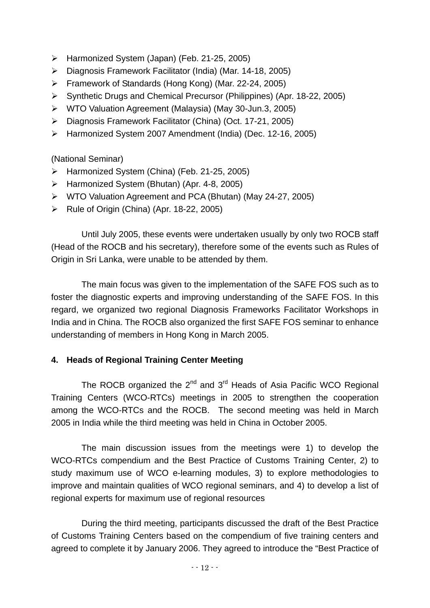- ¾ Harmonized System (Japan) (Feb. 21-25, 2005)
- ¾ Diagnosis Framework Facilitator (India) (Mar. 14-18, 2005)
- ¾ Framework of Standards (Hong Kong) (Mar. 22-24, 2005)
- ¾ Synthetic Drugs and Chemical Precursor (Philippines) (Apr. 18-22, 2005)
- ¾ WTO Valuation Agreement (Malaysia) (May 30-Jun.3, 2005)
- ¾ Diagnosis Framework Facilitator (China) (Oct. 17-21, 2005)
- ¾ Harmonized System 2007 Amendment (India) (Dec. 12-16, 2005)

(National Seminar)

- ¾ Harmonized System (China) (Feb. 21-25, 2005)
- ¾ Harmonized System (Bhutan) (Apr. 4-8, 2005)
- ¾ WTO Valuation Agreement and PCA (Bhutan) (May 24-27, 2005)
- ¾ Rule of Origin (China) (Apr. 18-22, 2005)

Until July 2005, these events were undertaken usually by only two ROCB staff (Head of the ROCB and his secretary), therefore some of the events such as Rules of Origin in Sri Lanka, were unable to be attended by them.

The main focus was given to the implementation of the SAFE FOS such as to foster the diagnostic experts and improving understanding of the SAFE FOS. In this regard, we organized two regional Diagnosis Frameworks Facilitator Workshops in India and in China. The ROCB also organized the first SAFE FOS seminar to enhance understanding of members in Hong Kong in March 2005.

## **4. Heads of Regional Training Center Meeting**

The ROCB organized the  $2^{nd}$  and  $3^{rd}$  Heads of Asia Pacific WCO Regional Training Centers (WCO-RTCs) meetings in 2005 to strengthen the cooperation among the WCO-RTCs and the ROCB. The second meeting was held in March 2005 in India while the third meeting was held in China in October 2005.

The main discussion issues from the meetings were 1) to develop the WCO-RTCs compendium and the Best Practice of Customs Training Center, 2) to study maximum use of WCO e-learning modules, 3) to explore methodologies to improve and maintain qualities of WCO regional seminars, and 4) to develop a list of regional experts for maximum use of regional resources

During the third meeting, participants discussed the draft of the Best Practice of Customs Training Centers based on the compendium of five training centers and agreed to complete it by January 2006. They agreed to introduce the "Best Practice of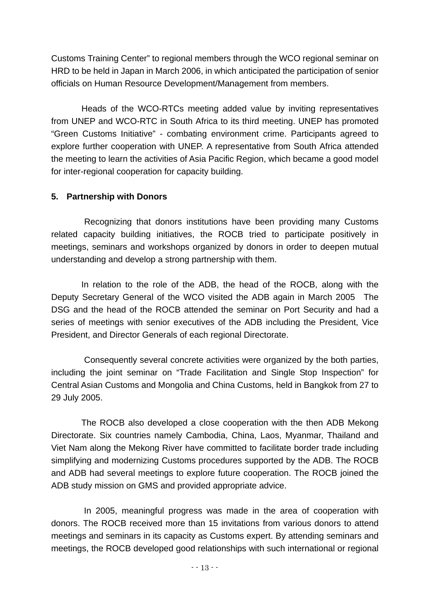Customs Training Center" to regional members through the WCO regional seminar on HRD to be held in Japan in March 2006, in which anticipated the participation of senior officials on Human Resource Development/Management from members.

Heads of the WCO-RTCs meeting added value by inviting representatives from UNEP and WCO-RTC in South Africa to its third meeting. UNEP has promoted "Green Customs Initiative" - combating environment crime. Participants agreed to explore further cooperation with UNEP. A representative from South Africa attended the meeting to learn the activities of Asia Pacific Region, which became a good model for inter-regional cooperation for capacity building.

## **5. Partnership with Donors**

Recognizing that donors institutions have been providing many Customs related capacity building initiatives, the ROCB tried to participate positively in meetings, seminars and workshops organized by donors in order to deepen mutual understanding and develop a strong partnership with them.

In relation to the role of the ADB, the head of the ROCB, along with the Deputy Secretary General of the WCO visited the ADB again in March 2005 The DSG and the head of the ROCB attended the seminar on Port Security and had a series of meetings with senior executives of the ADB including the President, Vice President, and Director Generals of each regional Directorate.

Consequently several concrete activities were organized by the both parties, including the joint seminar on "Trade Facilitation and Single Stop Inspection" for Central Asian Customs and Mongolia and China Customs, held in Bangkok from 27 to 29 July 2005.

The ROCB also developed a close cooperation with the then ADB Mekong Directorate. Six countries namely Cambodia, China, Laos, Myanmar, Thailand and Viet Nam along the Mekong River have committed to facilitate border trade including simplifying and modernizing Customs procedures supported by the ADB. The ROCB and ADB had several meetings to explore future cooperation. The ROCB joined the ADB study mission on GMS and provided appropriate advice.

In 2005, meaningful progress was made in the area of cooperation with donors. The ROCB received more than 15 invitations from various donors to attend meetings and seminars in its capacity as Customs expert. By attending seminars and meetings, the ROCB developed good relationships with such international or regional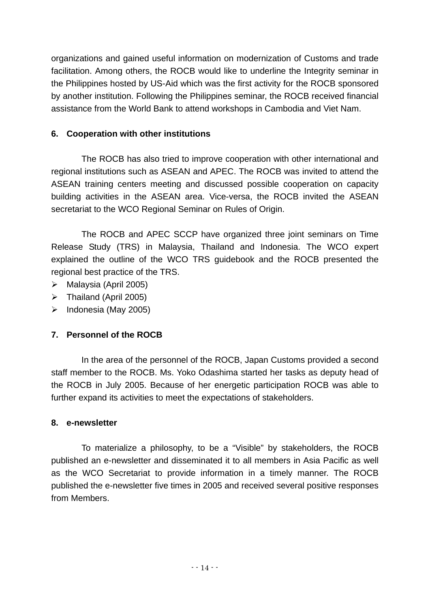organizations and gained useful information on modernization of Customs and trade facilitation. Among others, the ROCB would like to underline the Integrity seminar in the Philippines hosted by US-Aid which was the first activity for the ROCB sponsored by another institution. Following the Philippines seminar, the ROCB received financial assistance from the World Bank to attend workshops in Cambodia and Viet Nam.

## **6. Cooperation with other institutions**

The ROCB has also tried to improve cooperation with other international and regional institutions such as ASEAN and APEC. The ROCB was invited to attend the ASEAN training centers meeting and discussed possible cooperation on capacity building activities in the ASEAN area. Vice-versa, the ROCB invited the ASEAN secretariat to the WCO Regional Seminar on Rules of Origin.

The ROCB and APEC SCCP have organized three joint seminars on Time Release Study (TRS) in Malaysia, Thailand and Indonesia. The WCO expert explained the outline of the WCO TRS guidebook and the ROCB presented the regional best practice of the TRS.

- $\triangleright$  Malaysia (April 2005)
- $\triangleright$  Thailand (April 2005)
- $\triangleright$  Indonesia (May 2005)

## **7. Personnel of the ROCB**

In the area of the personnel of the ROCB, Japan Customs provided a second staff member to the ROCB. Ms. Yoko Odashima started her tasks as deputy head of the ROCB in July 2005. Because of her energetic participation ROCB was able to further expand its activities to meet the expectations of stakeholders.

## **8. e-newsletter**

To materialize a philosophy, to be a "Visible" by stakeholders, the ROCB published an e-newsletter and disseminated it to all members in Asia Pacific as well as the WCO Secretariat to provide information in a timely manner. The ROCB published the e-newsletter five times in 2005 and received several positive responses from Members.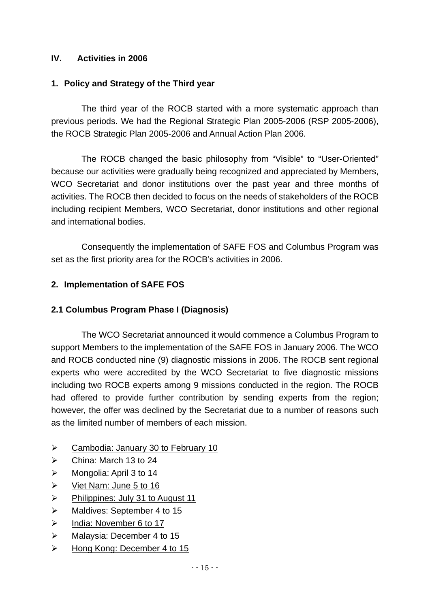## **IV. Activities in 2006**

## **1. Policy and Strategy of the Third year**

The third year of the ROCB started with a more systematic approach than previous periods. We had the Regional Strategic Plan 2005-2006 (RSP 2005-2006), the ROCB Strategic Plan 2005-2006 and Annual Action Plan 2006.

The ROCB changed the basic philosophy from "Visible" to "User-Oriented" because our activities were gradually being recognized and appreciated by Members, WCO Secretariat and donor institutions over the past year and three months of activities. The ROCB then decided to focus on the needs of stakeholders of the ROCB including recipient Members, WCO Secretariat, donor institutions and other regional and international bodies.

Consequently the implementation of SAFE FOS and Columbus Program was set as the first priority area for the ROCB's activities in 2006.

## **2. Implementation of SAFE FOS**

## **2.1 Columbus Program Phase I (Diagnosis)**

The WCO Secretariat announced it would commence a Columbus Program to support Members to the implementation of the SAFE FOS in January 2006. The WCO and ROCB conducted nine (9) diagnostic missions in 2006. The ROCB sent regional experts who were accredited by the WCO Secretariat to five diagnostic missions including two ROCB experts among 9 missions conducted in the region. The ROCB had offered to provide further contribution by sending experts from the region; however, the offer was declined by the Secretariat due to a number of reasons such as the limited number of members of each mission.

- ¾ Cambodia: January 30 to February 10
- $\triangleright$  China: March 13 to 24
- $\triangleright$  Mongolia: April 3 to 14
- $\triangleright$  Viet Nam: June 5 to 16
- $\triangleright$  Philippines: July 31 to August 11
- ¾ Maldives: September 4 to 15
- ¾ India: November 6 to 17
- $\triangleright$  Malaysia: December 4 to 15
- ¾ Hong Kong: December 4 to 15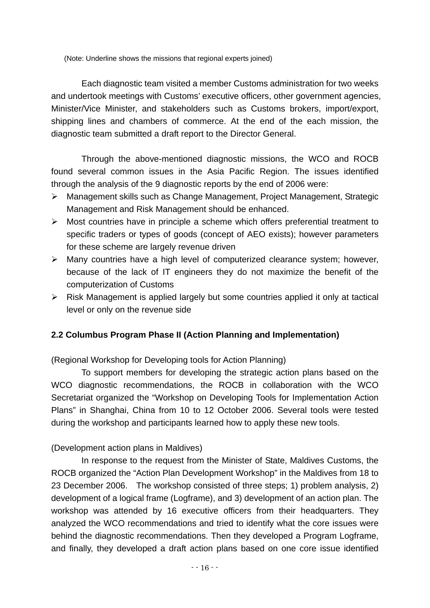(Note: Underline shows the missions that regional experts joined)

Each diagnostic team visited a member Customs administration for two weeks and undertook meetings with Customs' executive officers, other government agencies, Minister/Vice Minister, and stakeholders such as Customs brokers, import/export, shipping lines and chambers of commerce. At the end of the each mission, the diagnostic team submitted a draft report to the Director General.

Through the above-mentioned diagnostic missions, the WCO and ROCB found several common issues in the Asia Pacific Region. The issues identified through the analysis of the 9 diagnostic reports by the end of 2006 were:

- ¾ Management skills such as Change Management, Project Management, Strategic Management and Risk Management should be enhanced.
- $\triangleright$  Most countries have in principle a scheme which offers preferential treatment to specific traders or types of goods (concept of AEO exists); however parameters for these scheme are largely revenue driven
- ¾ Many countries have a high level of computerized clearance system; however, because of the lack of IT engineers they do not maximize the benefit of the computerization of Customs
- $\triangleright$  Risk Management is applied largely but some countries applied it only at tactical level or only on the revenue side

## **2.2 Columbus Program Phase II (Action Planning and Implementation)**

(Regional Workshop for Developing tools for Action Planning)

To support members for developing the strategic action plans based on the WCO diagnostic recommendations, the ROCB in collaboration with the WCO Secretariat organized the "Workshop on Developing Tools for Implementation Action Plans" in Shanghai, China from 10 to 12 October 2006. Several tools were tested during the workshop and participants learned how to apply these new tools.

## (Development action plans in Maldives)

In response to the request from the Minister of State, Maldives Customs, the ROCB organized the "Action Plan Development Workshop" in the Maldives from 18 to 23 December 2006. The workshop consisted of three steps; 1) problem analysis, 2) development of a logical frame (Logframe), and 3) development of an action plan. The workshop was attended by 16 executive officers from their headquarters. They analyzed the WCO recommendations and tried to identify what the core issues were behind the diagnostic recommendations. Then they developed a Program Logframe, and finally, they developed a draft action plans based on one core issue identified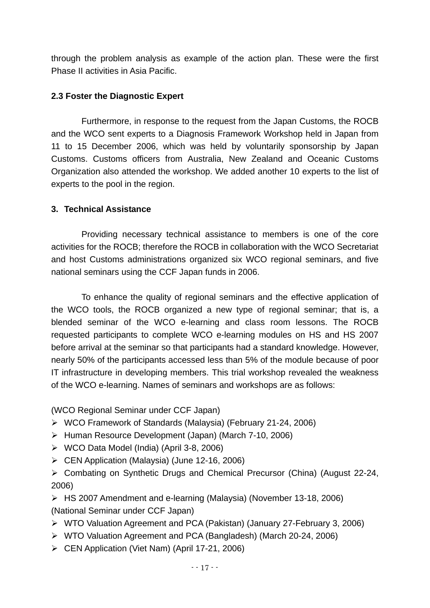through the problem analysis as example of the action plan. These were the first Phase II activities in Asia Pacific.

#### **2.3 Foster the Diagnostic Expert**

Furthermore, in response to the request from the Japan Customs, the ROCB and the WCO sent experts to a Diagnosis Framework Workshop held in Japan from 11 to 15 December 2006, which was held by voluntarily sponsorship by Japan Customs. Customs officers from Australia, New Zealand and Oceanic Customs Organization also attended the workshop. We added another 10 experts to the list of experts to the pool in the region.

#### **3. Technical Assistance**

Providing necessary technical assistance to members is one of the core activities for the ROCB; therefore the ROCB in collaboration with the WCO Secretariat and host Customs administrations organized six WCO regional seminars, and five national seminars using the CCF Japan funds in 2006.

To enhance the quality of regional seminars and the effective application of the WCO tools, the ROCB organized a new type of regional seminar; that is, a blended seminar of the WCO e-learning and class room lessons. The ROCB requested participants to complete WCO e-learning modules on HS and HS 2007 before arrival at the seminar so that participants had a standard knowledge. However, nearly 50% of the participants accessed less than 5% of the module because of poor IT infrastructure in developing members. This trial workshop revealed the weakness of the WCO e-learning. Names of seminars and workshops are as follows:

(WCO Regional Seminar under CCF Japan)

- ¾ WCO Framework of Standards (Malaysia) (February 21-24, 2006)
- ¾ Human Resource Development (Japan) (March 7-10, 2006)
- ¾ WCO Data Model (India) (April 3-8, 2006)
- ¾ CEN Application (Malaysia) (June 12-16, 2006)

¾ Combating on Synthetic Drugs and Chemical Precursor (China) (August 22-24, 2006)

¾ HS 2007 Amendment and e-learning (Malaysia) (November 13-18, 2006) (National Seminar under CCF Japan)

- ¾ WTO Valuation Agreement and PCA (Pakistan) (January 27-February 3, 2006)
- ¾ WTO Valuation Agreement and PCA (Bangladesh) (March 20-24, 2006)
- ¾ CEN Application (Viet Nam) (April 17-21, 2006)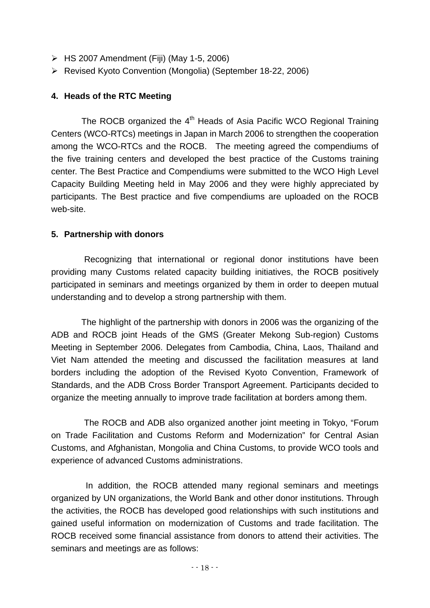- $\triangleright$  HS 2007 Amendment (Fiji) (May 1-5, 2006)
- ¾ Revised Kyoto Convention (Mongolia) (September 18-22, 2006)

## **4. Heads of the RTC Meeting**

The ROCB organized the 4<sup>th</sup> Heads of Asia Pacific WCO Regional Training Centers (WCO-RTCs) meetings in Japan in March 2006 to strengthen the cooperation among the WCO-RTCs and the ROCB. The meeting agreed the compendiums of the five training centers and developed the best practice of the Customs training center. The Best Practice and Compendiums were submitted to the WCO High Level Capacity Building Meeting held in May 2006 and they were highly appreciated by participants. The Best practice and five compendiums are uploaded on the ROCB web-site.

## **5. Partnership with donors**

Recognizing that international or regional donor institutions have been providing many Customs related capacity building initiatives, the ROCB positively participated in seminars and meetings organized by them in order to deepen mutual understanding and to develop a strong partnership with them.

The highlight of the partnership with donors in 2006 was the organizing of the ADB and ROCB joint Heads of the GMS (Greater Mekong Sub-region) Customs Meeting in September 2006. Delegates from Cambodia, China, Laos, Thailand and Viet Nam attended the meeting and discussed the facilitation measures at land borders including the adoption of the Revised Kyoto Convention, Framework of Standards, and the ADB Cross Border Transport Agreement. Participants decided to organize the meeting annually to improve trade facilitation at borders among them.

The ROCB and ADB also organized another joint meeting in Tokyo, "Forum on Trade Facilitation and Customs Reform and Modernization" for Central Asian Customs, and Afghanistan, Mongolia and China Customs, to provide WCO tools and experience of advanced Customs administrations.

 In addition, the ROCB attended many regional seminars and meetings organized by UN organizations, the World Bank and other donor institutions. Through the activities, the ROCB has developed good relationships with such institutions and gained useful information on modernization of Customs and trade facilitation. The ROCB received some financial assistance from donors to attend their activities. The seminars and meetings are as follows: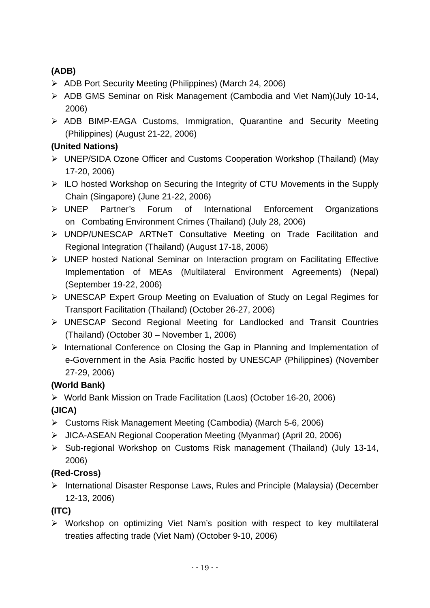## **(ADB)**

- ¾ ADB Port Security Meeting (Philippines) (March 24, 2006)
- ¾ ADB GMS Seminar on Risk Management (Cambodia and Viet Nam)(July 10-14, 2006)
- ¾ ADB BIMP-EAGA Customs, Immigration, Quarantine and Security Meeting (Philippines) (August 21-22, 2006)

## **(United Nations)**

- ¾ UNEP/SIDA Ozone Officer and Customs Cooperation Workshop (Thailand) (May 17-20, 2006)
- ¾ ILO hosted Workshop on Securing the Integrity of CTU Movements in the Supply Chain (Singapore) (June 21-22, 2006)
- ¾ UNEP Partner's Forum of International Enforcement Organizations on Combating Environment Crimes (Thailand) (July 28, 2006)
- ¾ UNDP/UNESCAP ARTNeT Consultative Meeting on Trade Facilitation and Regional Integration (Thailand) (August 17-18, 2006)
- ¾ UNEP hosted National Seminar on Interaction program on Facilitating Effective Implementation of MEAs (Multilateral Environment Agreements) (Nepal) (September 19-22, 2006)
- ¾ UNESCAP Expert Group Meeting on Evaluation of Study on Legal Regimes for Transport Facilitation (Thailand) (October 26-27, 2006)
- ¾ UNESCAP Second Regional Meeting for Landlocked and Transit Countries (Thailand) (October 30 – November 1, 2006)
- ¾ International Conference on Closing the Gap in Planning and Implementation of e-Government in the Asia Pacific hosted by UNESCAP (Philippines) (November 27-29, 2006)

## **(World Bank)**

- ¾ World Bank Mission on Trade Facilitation (Laos) (October 16-20, 2006) **(JICA)**
- ¾ Customs Risk Management Meeting (Cambodia) (March 5-6, 2006)
- ¾ JICA-ASEAN Regional Cooperation Meeting (Myanmar) (April 20, 2006)
- ¾ Sub-regional Workshop on Customs Risk management (Thailand) (July 13-14, 2006)

## **(Red-Cross)**

¾ International Disaster Response Laws, Rules and Principle (Malaysia) (December 12-13, 2006)

## **(ITC)**

¾ Workshop on optimizing Viet Nam's position with respect to key multilateral treaties affecting trade (Viet Nam) (October 9-10, 2006)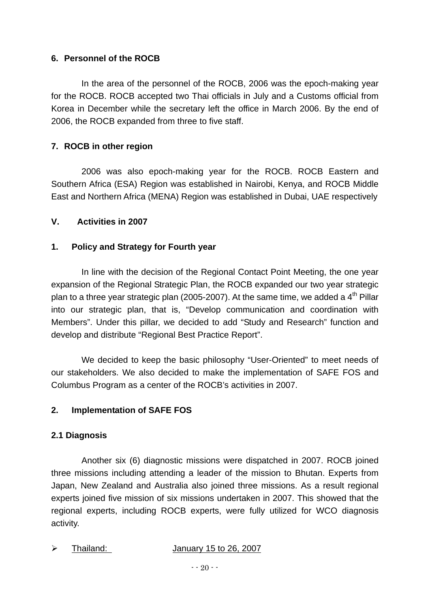#### **6. Personnel of the ROCB**

In the area of the personnel of the ROCB, 2006 was the epoch-making year for the ROCB. ROCB accepted two Thai officials in July and a Customs official from Korea in December while the secretary left the office in March 2006. By the end of 2006, the ROCB expanded from three to five staff.

## **7. ROCB in other region**

2006 was also epoch-making year for the ROCB. ROCB Eastern and Southern Africa (ESA) Region was established in Nairobi, Kenya, and ROCB Middle East and Northern Africa (MENA) Region was established in Dubai, UAE respectively

#### **V. Activities in 2007**

#### **1. Policy and Strategy for Fourth year**

In line with the decision of the Regional Contact Point Meeting, the one year expansion of the Regional Strategic Plan, the ROCB expanded our two year strategic plan to a three year strategic plan (2005-2007). At the same time, we added a  $4<sup>th</sup>$  Pillar into our strategic plan, that is, "Develop communication and coordination with Members". Under this pillar, we decided to add "Study and Research" function and develop and distribute "Regional Best Practice Report".

We decided to keep the basic philosophy "User-Oriented" to meet needs of our stakeholders. We also decided to make the implementation of SAFE FOS and Columbus Program as a center of the ROCB's activities in 2007.

## **2. Implementation of SAFE FOS**

#### **2.1 Diagnosis**

Another six (6) diagnostic missions were dispatched in 2007. ROCB joined three missions including attending a leader of the mission to Bhutan. Experts from Japan, New Zealand and Australia also joined three missions. As a result regional experts joined five mission of six missions undertaken in 2007. This showed that the regional experts, including ROCB experts, were fully utilized for WCO diagnosis activity.

| January 15 to 26, 2007 |
|------------------------|
|------------------------|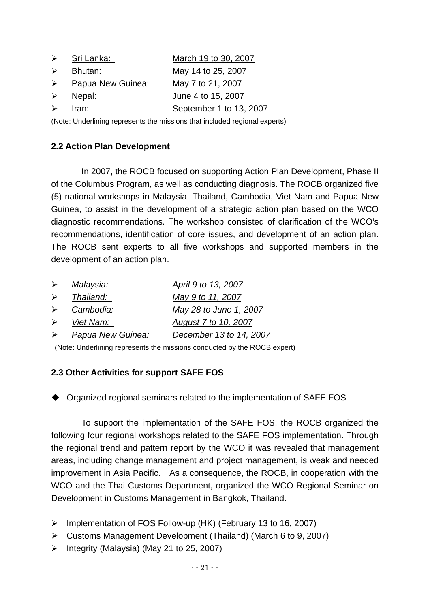| $\triangleright$ | Sri L <u>anka:</u>      | March 19 to 30, 2007    |
|------------------|-------------------------|-------------------------|
| $\triangleright$ | Bhutan:                 | May 14 to 25, 2007      |
| $\triangleright$ | Papua New Guinea:       | May 7 to 21, 2007       |
|                  | $\triangleright$ Nepal: | June 4 to 15, 2007      |
| ≻                | Iran:                   | September 1 to 13, 2007 |
|                  |                         |                         |

(Note: Underlining represents the missions that included regional experts)

## **2.2 Action Plan Development**

In 2007, the ROCB focused on supporting Action Plan Development, Phase II of the Columbus Program, as well as conducting diagnosis. The ROCB organized five (5) national workshops in Malaysia, Thailand, Cambodia, Viet Nam and Papua New Guinea, to assist in the development of a strategic action plan based on the WCO diagnostic recommendations. The workshop consisted of clarification of the WCO's recommendations, identification of core issues, and development of an action plan. The ROCB sent experts to all five workshops and supported members in the development of an action plan.

| ➤                     | Malaysia:         | April 9 to 13, 2007     |
|-----------------------|-------------------|-------------------------|
|                       | Thailand:         | May 9 to 11, 2007       |
| $\triangleright$      | Cambodia:         | May 28 to June 1, 2007  |
| $\triangleright$      | Viet Nam:         | August 7 to 10, 2007    |
| $\blacktriangleright$ | Papua New Guinea: | December 13 to 14, 2007 |
|                       |                   |                         |

(Note: Underlining represents the missions conducted by the ROCB expert)

## **2.3 Other Activities for support SAFE FOS**

Organized regional seminars related to the implementation of SAFE FOS

To support the implementation of the SAFE FOS, the ROCB organized the following four regional workshops related to the SAFE FOS implementation. Through the regional trend and pattern report by the WCO it was revealed that management areas, including change management and project management, is weak and needed improvement in Asia Pacific. As a consequence, the ROCB, in cooperation with the WCO and the Thai Customs Department, organized the WCO Regional Seminar on Development in Customs Management in Bangkok, Thailand.

- ¾ Implementation of FOS Follow-up (HK) (February 13 to 16, 2007)
- ¾ Customs Management Development (Thailand) (March 6 to 9, 2007)
- $\triangleright$  Integrity (Malaysia) (May 21 to 25, 2007)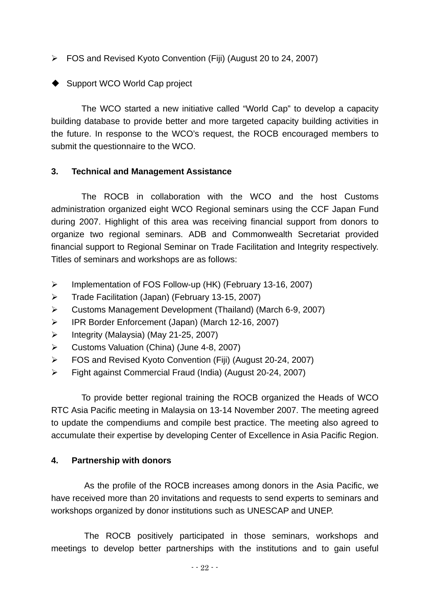¾ FOS and Revised Kyoto Convention (Fiji) (August 20 to 24, 2007)

## ◆ Support WCO World Cap project

The WCO started a new initiative called "World Cap" to develop a capacity building database to provide better and more targeted capacity building activities in the future. In response to the WCO's request, the ROCB encouraged members to submit the questionnaire to the WCO.

## **3. Technical and Management Assistance**

The ROCB in collaboration with the WCO and the host Customs administration organized eight WCO Regional seminars using the CCF Japan Fund during 2007. Highlight of this area was receiving financial support from donors to organize two regional seminars. ADB and Commonwealth Secretariat provided financial support to Regional Seminar on Trade Facilitation and Integrity respectively. Titles of seminars and workshops are as follows:

- ¾ Implementation of FOS Follow-up (HK) (February 13-16, 2007)
- ¾ Trade Facilitation (Japan) (February 13-15, 2007)
- ¾ Customs Management Development (Thailand) (March 6-9, 2007)
- ¾ IPR Border Enforcement (Japan) (March 12-16, 2007)
- ¾ Integrity (Malaysia) (May 21-25, 2007)
- ¾ Customs Valuation (China) (June 4-8, 2007)
- ¾ FOS and Revised Kyoto Convention (Fiji) (August 20-24, 2007)
- ¾ Fight against Commercial Fraud (India) (August 20-24, 2007)

To provide better regional training the ROCB organized the Heads of WCO RTC Asia Pacific meeting in Malaysia on 13-14 November 2007. The meeting agreed to update the compendiums and compile best practice. The meeting also agreed to accumulate their expertise by developing Center of Excellence in Asia Pacific Region.

## **4. Partnership with donors**

As the profile of the ROCB increases among donors in the Asia Pacific, we have received more than 20 invitations and requests to send experts to seminars and workshops organized by donor institutions such as UNESCAP and UNEP.

The ROCB positively participated in those seminars, workshops and meetings to develop better partnerships with the institutions and to gain useful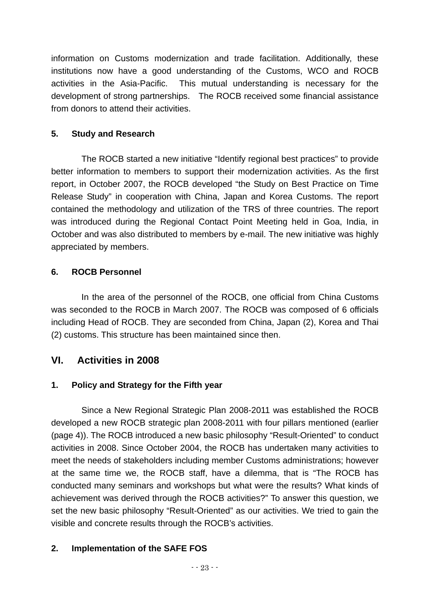information on Customs modernization and trade facilitation. Additionally, these institutions now have a good understanding of the Customs, WCO and ROCB activities in the Asia-Pacific. This mutual understanding is necessary for the development of strong partnerships. The ROCB received some financial assistance from donors to attend their activities.

## **5. Study and Research**

The ROCB started a new initiative "Identify regional best practices" to provide better information to members to support their modernization activities. As the first report, in October 2007, the ROCB developed "the Study on Best Practice on Time Release Study" in cooperation with China, Japan and Korea Customs. The report contained the methodology and utilization of the TRS of three countries. The report was introduced during the Regional Contact Point Meeting held in Goa, India, in October and was also distributed to members by e-mail. The new initiative was highly appreciated by members.

## **6. ROCB Personnel**

In the area of the personnel of the ROCB, one official from China Customs was seconded to the ROCB in March 2007. The ROCB was composed of 6 officials including Head of ROCB. They are seconded from China, Japan (2), Korea and Thai (2) customs. This structure has been maintained since then.

## **VI. Activities in 2008**

## **1. Policy and Strategy for the Fifth year**

Since a New Regional Strategic Plan 2008-2011 was established the ROCB developed a new ROCB strategic plan 2008-2011 with four pillars mentioned (earlier (page 4)). The ROCB introduced a new basic philosophy "Result-Oriented" to conduct activities in 2008. Since October 2004, the ROCB has undertaken many activities to meet the needs of stakeholders including member Customs administrations; however at the same time we, the ROCB staff, have a dilemma, that is "The ROCB has conducted many seminars and workshops but what were the results? What kinds of achievement was derived through the ROCB activities?" To answer this question, we set the new basic philosophy "Result-Oriented" as our activities. We tried to gain the visible and concrete results through the ROCB's activities.

## **2. Implementation of the SAFE FOS**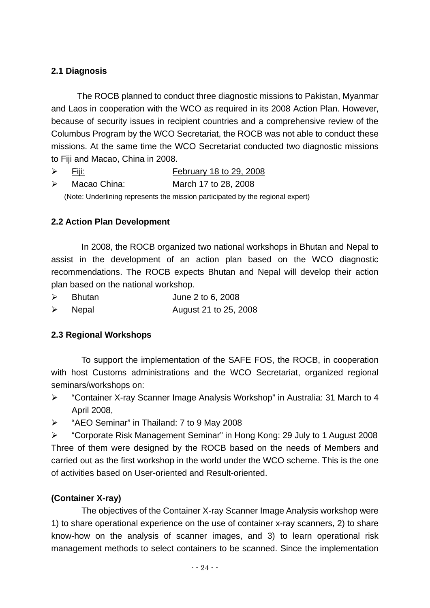## **2.1 Diagnosis**

The ROCB planned to conduct three diagnostic missions to Pakistan, Myanmar and Laos in cooperation with the WCO as required in its 2008 Action Plan. However, because of security issues in recipient countries and a comprehensive review of the Columbus Program by the WCO Secretariat, the ROCB was not able to conduct these missions. At the same time the WCO Secretariat conducted two diagnostic missions to Fiji and Macao, China in 2008.

- $\triangleright$  Fiji: February 18 to 29, 2008
- ¾ Macao China: March 17 to 28, 2008

(Note: Underlining represents the mission participated by the regional expert)

## **2.2 Action Plan Development**

In 2008, the ROCB organized two national workshops in Bhutan and Nepal to assist in the development of an action plan based on the WCO diagnostic recommendations. The ROCB expects Bhutan and Nepal will develop their action plan based on the national workshop.

- ¾ Bhutan June 2 to 6, 2008
- ¾ Nepal August 21 to 25, 2008

## **2.3 Regional Workshops**

To support the implementation of the SAFE FOS, the ROCB, in cooperation with host Customs administrations and the WCO Secretariat, organized regional seminars/workshops on:

- ¾ "Container X-ray Scanner Image Analysis Workshop" in Australia: 31 March to 4 April 2008,
- ¾ "AEO Seminar" in Thailand: 7 to 9 May 2008

¾ "Corporate Risk Management Seminar" in Hong Kong: 29 July to 1 August 2008 Three of them were designed by the ROCB based on the needs of Members and carried out as the first workshop in the world under the WCO scheme. This is the one of activities based on User-oriented and Result-oriented.

## **(Container X-ray)**

The objectives of the Container X-ray Scanner Image Analysis workshop were 1) to share operational experience on the use of container x-ray scanners, 2) to share know-how on the analysis of scanner images, and 3) to learn operational risk management methods to select containers to be scanned. Since the implementation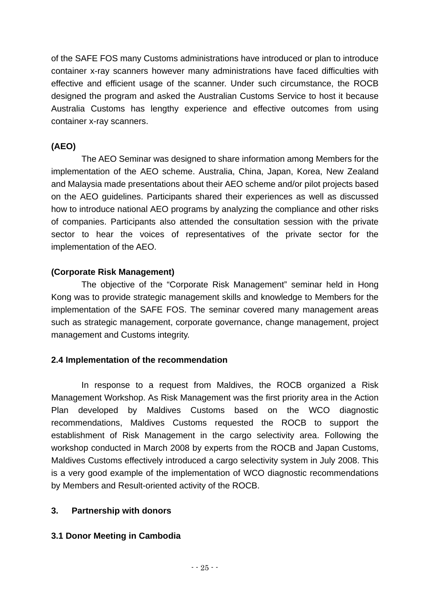of the SAFE FOS many Customs administrations have introduced or plan to introduce container x-ray scanners however many administrations have faced difficulties with effective and efficient usage of the scanner. Under such circumstance, the ROCB designed the program and asked the Australian Customs Service to host it because Australia Customs has lengthy experience and effective outcomes from using container x-ray scanners.

## **(AEO)**

The AEO Seminar was designed to share information among Members for the implementation of the AEO scheme. Australia, China, Japan, Korea, New Zealand and Malaysia made presentations about their AEO scheme and/or pilot projects based on the AEO guidelines. Participants shared their experiences as well as discussed how to introduce national AEO programs by analyzing the compliance and other risks of companies. Participants also attended the consultation session with the private sector to hear the voices of representatives of the private sector for the implementation of the AEO.

## **(Corporate Risk Management)**

The objective of the "Corporate Risk Management" seminar held in Hong Kong was to provide strategic management skills and knowledge to Members for the implementation of the SAFE FOS. The seminar covered many management areas such as strategic management, corporate governance, change management, project management and Customs integrity.

## **2.4 Implementation of the recommendation**

In response to a request from Maldives, the ROCB organized a Risk Management Workshop. As Risk Management was the first priority area in the Action Plan developed by Maldives Customs based on the WCO diagnostic recommendations, Maldives Customs requested the ROCB to support the establishment of Risk Management in the cargo selectivity area. Following the workshop conducted in March 2008 by experts from the ROCB and Japan Customs, Maldives Customs effectively introduced a cargo selectivity system in July 2008. This is a very good example of the implementation of WCO diagnostic recommendations by Members and Result-oriented activity of the ROCB.

## **3. Partnership with donors**

## **3.1 Donor Meeting in Cambodia**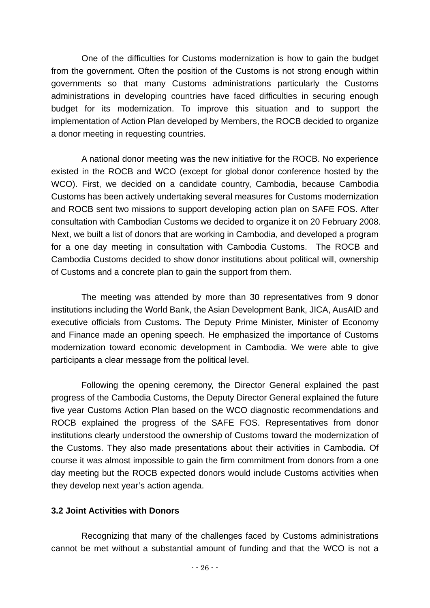One of the difficulties for Customs modernization is how to gain the budget from the government. Often the position of the Customs is not strong enough within governments so that many Customs administrations particularly the Customs administrations in developing countries have faced difficulties in securing enough budget for its modernization. To improve this situation and to support the implementation of Action Plan developed by Members, the ROCB decided to organize a donor meeting in requesting countries.

A national donor meeting was the new initiative for the ROCB. No experience existed in the ROCB and WCO (except for global donor conference hosted by the WCO). First, we decided on a candidate country, Cambodia, because Cambodia Customs has been actively undertaking several measures for Customs modernization and ROCB sent two missions to support developing action plan on SAFE FOS. After consultation with Cambodian Customs we decided to organize it on 20 February 2008. Next, we built a list of donors that are working in Cambodia, and developed a program for a one day meeting in consultation with Cambodia Customs. The ROCB and Cambodia Customs decided to show donor institutions about political will, ownership of Customs and a concrete plan to gain the support from them.

The meeting was attended by more than 30 representatives from 9 donor institutions including the World Bank, the Asian Development Bank, JICA, AusAID and executive officials from Customs. The Deputy Prime Minister, Minister of Economy and Finance made an opening speech. He emphasized the importance of Customs modernization toward economic development in Cambodia. We were able to give participants a clear message from the political level.

Following the opening ceremony, the Director General explained the past progress of the Cambodia Customs, the Deputy Director General explained the future five year Customs Action Plan based on the WCO diagnostic recommendations and ROCB explained the progress of the SAFE FOS. Representatives from donor institutions clearly understood the ownership of Customs toward the modernization of the Customs. They also made presentations about their activities in Cambodia. Of course it was almost impossible to gain the firm commitment from donors from a one day meeting but the ROCB expected donors would include Customs activities when they develop next year's action agenda.

#### **3.2 Joint Activities with Donors**

Recognizing that many of the challenges faced by Customs administrations cannot be met without a substantial amount of funding and that the WCO is not a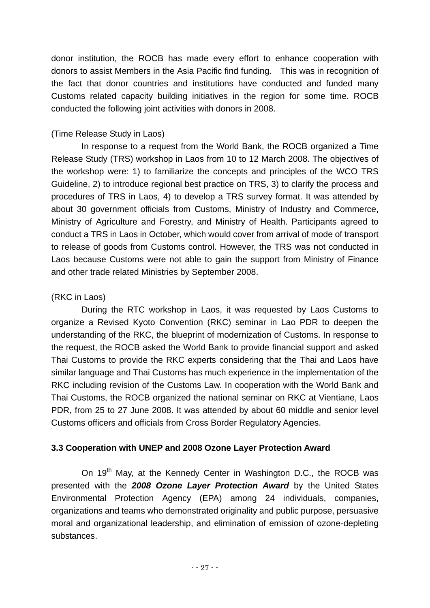donor institution, the ROCB has made every effort to enhance cooperation with donors to assist Members in the Asia Pacific find funding. This was in recognition of the fact that donor countries and institutions have conducted and funded many Customs related capacity building initiatives in the region for some time. ROCB conducted the following joint activities with donors in 2008.

## (Time Release Study in Laos)

In response to a request from the World Bank, the ROCB organized a Time Release Study (TRS) workshop in Laos from 10 to 12 March 2008. The objectives of the workshop were: 1) to familiarize the concepts and principles of the WCO TRS Guideline, 2) to introduce regional best practice on TRS, 3) to clarify the process and procedures of TRS in Laos, 4) to develop a TRS survey format. It was attended by about 30 government officials from Customs, Ministry of Industry and Commerce, Ministry of Agriculture and Forestry, and Ministry of Health. Participants agreed to conduct a TRS in Laos in October, which would cover from arrival of mode of transport to release of goods from Customs control. However, the TRS was not conducted in Laos because Customs were not able to gain the support from Ministry of Finance and other trade related Ministries by September 2008.

## (RKC in Laos)

During the RTC workshop in Laos, it was requested by Laos Customs to organize a Revised Kyoto Convention (RKC) seminar in Lao PDR to deepen the understanding of the RKC, the blueprint of modernization of Customs. In response to the request, the ROCB asked the World Bank to provide financial support and asked Thai Customs to provide the RKC experts considering that the Thai and Laos have similar language and Thai Customs has much experience in the implementation of the RKC including revision of the Customs Law. In cooperation with the World Bank and Thai Customs, the ROCB organized the national seminar on RKC at Vientiane, Laos PDR, from 25 to 27 June 2008. It was attended by about 60 middle and senior level Customs officers and officials from Cross Border Regulatory Agencies.

## **3.3 Cooperation with UNEP and 2008 Ozone Layer Protection Award**

On 19<sup>th</sup> May, at the Kennedy Center in Washington D.C., the ROCB was presented with the *2008 Ozone Layer Protection Award* by the United States Environmental Protection Agency (EPA) among 24 individuals, companies, organizations and teams who demonstrated originality and public purpose, persuasive moral and organizational leadership, and elimination of emission of ozone-depleting substances.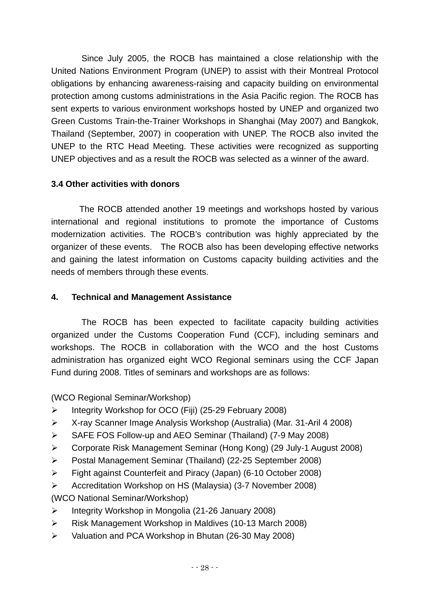Since July 2005, the ROCB has maintained a close relationship with the United Nations Environment Program (UNEP) to assist with their Montreal Protocol obligations by enhancing awareness-raising and capacity building on environmental protection among customs administrations in the Asia Pacific region. The ROCB has sent experts to various environment workshops hosted by UNEP and organized two Green Customs Train-the-Trainer Workshops in Shanghai (May 2007) and Bangkok, Thailand (September, 2007) in cooperation with UNEP. The ROCB also invited the UNEP to the RTC Head Meeting. These activities were recognized as supporting UNEP objectives and as a result the ROCB was selected as a winner of the award.

## **3.4 Other activities with donors**

The ROCB attended another 19 meetings and workshops hosted by various international and regional institutions to promote the importance of Customs modernization activities. The ROCB's contribution was highly appreciated by the organizer of these events. The ROCB also has been developing effective networks and gaining the latest information on Customs capacity building activities and the needs of members through these events.

## **4. Technical and Management Assistance**

The ROCB has been expected to facilitate capacity building activities organized under the Customs Cooperation Fund (CCF), including seminars and workshops. The ROCB in collaboration with the WCO and the host Customs administration has organized eight WCO Regional seminars using the CCF Japan Fund during 2008. Titles of seminars and workshops are as follows:

(WCO Regional Seminar/Workshop)

- ¾ Integrity Workshop for OCO (Fiji) (25-29 February 2008)
- ¾ X-ray Scanner Image Analysis Workshop (Australia) (Mar. 31-Aril 4 2008)
- ¾ SAFE FOS Follow-up and AEO Seminar (Thailand) (7-9 May 2008)
- ¾ Corporate Risk Management Seminar (Hong Kong) (29 July-1 August 2008)
- ¾ Postal Management Seminar (Thailand) (22-25 September 2008)
- ¾ Fight against Counterfeit and Piracy (Japan) (6-10 October 2008)
- ¾ Accreditation Workshop on HS (Malaysia) (3-7 November 2008)
- (WCO National Seminar/Workshop)
- ¾ Integrity Workshop in Mongolia (21-26 January 2008)
- ¾ Risk Management Workshop in Maldives (10-13 March 2008)
- ¾ Valuation and PCA Workshop in Bhutan (26-30 May 2008)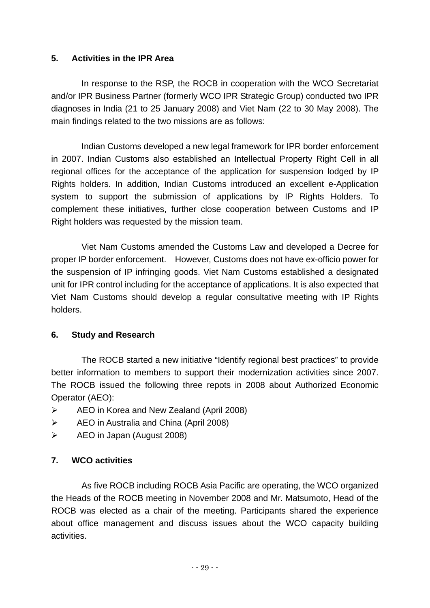## **5. Activities in the IPR Area**

In response to the RSP, the ROCB in cooperation with the WCO Secretariat and/or IPR Business Partner (formerly WCO IPR Strategic Group) conducted two IPR diagnoses in India (21 to 25 January 2008) and Viet Nam (22 to 30 May 2008). The main findings related to the two missions are as follows:

Indian Customs developed a new legal framework for IPR border enforcement in 2007. Indian Customs also established an Intellectual Property Right Cell in all regional offices for the acceptance of the application for suspension lodged by IP Rights holders. In addition, Indian Customs introduced an excellent e-Application system to support the submission of applications by IP Rights Holders. To complement these initiatives, further close cooperation between Customs and IP Right holders was requested by the mission team.

Viet Nam Customs amended the Customs Law and developed a Decree for proper IP border enforcement. However, Customs does not have ex-officio power for the suspension of IP infringing goods. Viet Nam Customs established a designated unit for IPR control including for the acceptance of applications. It is also expected that Viet Nam Customs should develop a regular consultative meeting with IP Rights holders.

## **6. Study and Research**

The ROCB started a new initiative "Identify regional best practices" to provide better information to members to support their modernization activities since 2007. The ROCB issued the following three repots in 2008 about Authorized Economic Operator (AEO):

- ¾ AEO in Korea and New Zealand (April 2008)
- ¾ AEO in Australia and China (April 2008)
- $\triangleright$  AEO in Japan (August 2008)

## **7. WCO activities**

As five ROCB including ROCB Asia Pacific are operating, the WCO organized the Heads of the ROCB meeting in November 2008 and Mr. Matsumoto, Head of the ROCB was elected as a chair of the meeting. Participants shared the experience about office management and discuss issues about the WCO capacity building activities.